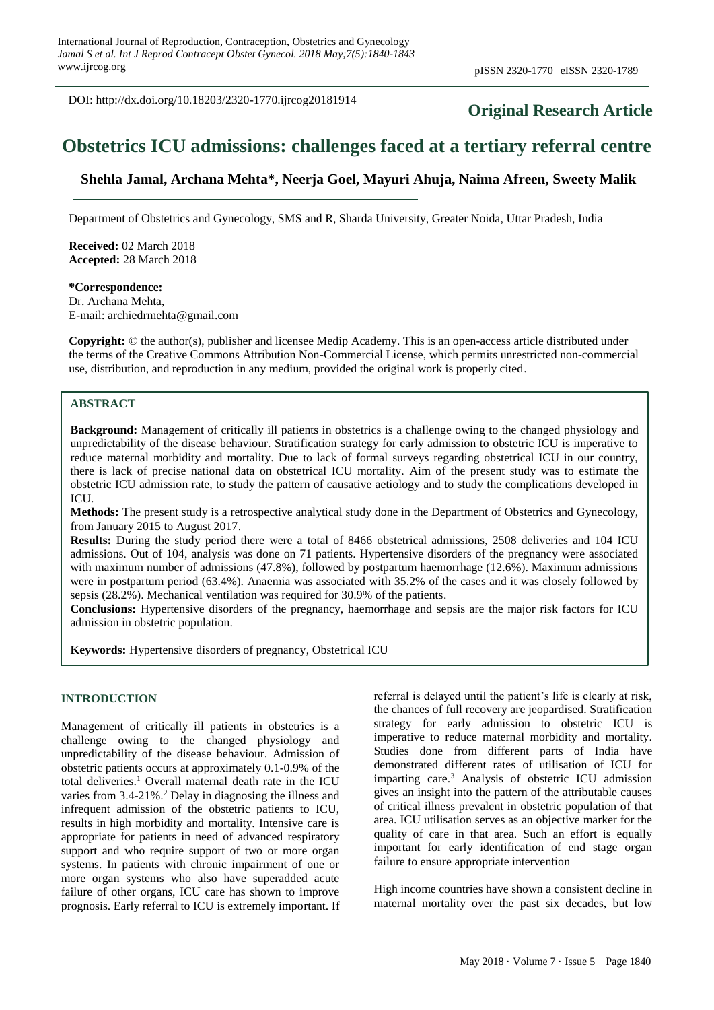DOI: http://dx.doi.org/10.18203/2320-1770.ijrcog20181914

# **Original Research Article**

# **Obstetrics ICU admissions: challenges faced at a tertiary referral centre**

**Shehla Jamal, Archana Mehta\*, Neerja Goel, Mayuri Ahuja, Naima Afreen, Sweety Malik**

Department of Obstetrics and Gynecology, SMS and R, Sharda University, Greater Noida, Uttar Pradesh, India

**Received:** 02 March 2018 **Accepted:** 28 March 2018

**\*Correspondence:** Dr. Archana Mehta, E-mail: archiedrmehta@gmail.com

**Copyright:** © the author(s), publisher and licensee Medip Academy. This is an open-access article distributed under the terms of the Creative Commons Attribution Non-Commercial License, which permits unrestricted non-commercial use, distribution, and reproduction in any medium, provided the original work is properly cited.

#### **ABSTRACT**

**Background:** Management of critically ill patients in obstetrics is a challenge owing to the changed physiology and unpredictability of the disease behaviour. Stratification strategy for early admission to obstetric ICU is imperative to reduce maternal morbidity and mortality. Due to lack of formal surveys regarding obstetrical ICU in our country, there is lack of precise national data on obstetrical ICU mortality. Aim of the present study was to estimate the obstetric ICU admission rate, to study the pattern of causative aetiology and to study the complications developed in ICU.

**Methods:** The present study is a retrospective analytical study done in the Department of Obstetrics and Gynecology, from January 2015 to August 2017.

**Results:** During the study period there were a total of 8466 obstetrical admissions, 2508 deliveries and 104 ICU admissions. Out of 104, analysis was done on 71 patients. Hypertensive disorders of the pregnancy were associated with maximum number of admissions (47.8%), followed by postpartum haemorrhage (12.6%). Maximum admissions were in postpartum period (63.4%). Anaemia was associated with 35.2% of the cases and it was closely followed by sepsis (28.2%). Mechanical ventilation was required for 30.9% of the patients.

**Conclusions:** Hypertensive disorders of the pregnancy, haemorrhage and sepsis are the major risk factors for ICU admission in obstetric population.

**Keywords:** Hypertensive disorders of pregnancy, Obstetrical ICU

#### **INTRODUCTION**

Management of critically ill patients in obstetrics is a challenge owing to the changed physiology and unpredictability of the disease behaviour. Admission of obstetric patients occurs at approximately 0.1-0.9% of the total deliveries.<sup>1</sup> Overall maternal death rate in the ICU varies from 3.4-21%. <sup>2</sup> Delay in diagnosing the illness and infrequent admission of the obstetric patients to ICU, results in high morbidity and mortality. Intensive care is appropriate for patients in need of advanced respiratory support and who require support of two or more organ systems. In patients with chronic impairment of one or more organ systems who also have superadded acute failure of other organs, ICU care has shown to improve prognosis. Early referral to ICU is extremely important. If referral is delayed until the patient's life is clearly at risk, the chances of full recovery are jeopardised. Stratification strategy for early admission to obstetric ICU is imperative to reduce maternal morbidity and mortality. Studies done from different parts of India have demonstrated different rates of utilisation of ICU for imparting care.<sup>3</sup> Analysis of obstetric ICU admission gives an insight into the pattern of the attributable causes of critical illness prevalent in obstetric population of that area. ICU utilisation serves as an objective marker for the quality of care in that area. Such an effort is equally important for early identification of end stage organ failure to ensure appropriate intervention

High income countries have shown a consistent decline in maternal mortality over the past six decades, but low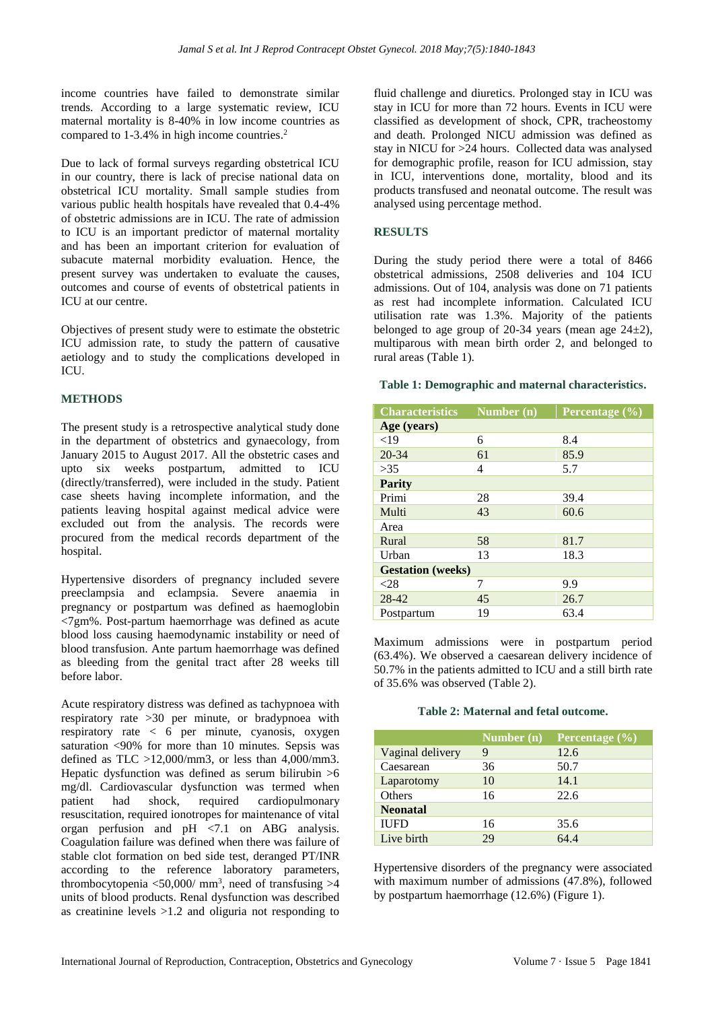income countries have failed to demonstrate similar trends. According to a large systematic review, ICU maternal mortality is 8-40% in low income countries as compared to 1-3.4% in high income countries. 2

Due to lack of formal surveys regarding obstetrical ICU in our country, there is lack of precise national data on obstetrical ICU mortality. Small sample studies from various public health hospitals have revealed that 0.4-4% of obstetric admissions are in ICU. The rate of admission to ICU is an important predictor of maternal mortality and has been an important criterion for evaluation of subacute maternal morbidity evaluation. Hence, the present survey was undertaken to evaluate the causes, outcomes and course of events of obstetrical patients in ICU at our centre.

Objectives of present study were to estimate the obstetric ICU admission rate, to study the pattern of causative aetiology and to study the complications developed in ICU.

## **METHODS**

The present study is a retrospective analytical study done in the department of obstetrics and gynaecology, from January 2015 to August 2017. All the obstetric cases and upto six weeks postpartum, admitted to ICU (directly/transferred), were included in the study. Patient case sheets having incomplete information, and the patients leaving hospital against medical advice were excluded out from the analysis. The records were procured from the medical records department of the hospital.

Hypertensive disorders of pregnancy included severe preeclampsia and eclampsia. Severe anaemia in pregnancy or postpartum was defined as haemoglobin <7gm%. Post-partum haemorrhage was defined as acute blood loss causing haemodynamic instability or need of blood transfusion. Ante partum haemorrhage was defined as bleeding from the genital tract after 28 weeks till before labor.

Acute respiratory distress was defined as tachypnoea with respiratory rate >30 per minute, or bradypnoea with respiratory rate < 6 per minute, cyanosis, oxygen saturation <90% for more than 10 minutes. Sepsis was defined as TLC  $>12,000/\text{mm}$ 3, or less than 4,000/mm3. Hepatic dysfunction was defined as serum bilirubin >6 mg/dl. Cardiovascular dysfunction was termed when patient had shock, required cardiopulmonary resuscitation, required ionotropes for maintenance of vital organ perfusion and pH <7.1 on ABG analysis. Coagulation failure was defined when there was failure of stable clot formation on bed side test, deranged PT/INR according to the reference laboratory parameters, thrombocytopenia  $\langle 50,000/$  mm<sup>3</sup>, need of transfusing  $>4$ units of blood products. Renal dysfunction was described as creatinine levels >1.2 and oliguria not responding to fluid challenge and diuretics. Prolonged stay in ICU was stay in ICU for more than 72 hours. Events in ICU were classified as development of shock, CPR, tracheostomy and death. Prolonged NICU admission was defined as stay in NICU for >24 hours. Collected data was analysed for demographic profile, reason for ICU admission, stay in ICU, interventions done, mortality, blood and its products transfused and neonatal outcome. The result was analysed using percentage method.

### **RESULTS**

During the study period there were a total of 8466 obstetrical admissions, 2508 deliveries and 104 ICU admissions. Out of 104, analysis was done on 71 patients as rest had incomplete information. Calculated ICU utilisation rate was 1.3%. Majority of the patients belonged to age group of 20-34 years (mean age  $24\pm2$ ), multiparous with mean birth order 2, and belonged to rural areas (Table 1).

### **Table 1: Demographic and maternal characteristics.**

| <b>Characteristics</b>   | Number $(n)$ | Percentage $\overline{(\%)}$ |  |
|--------------------------|--------------|------------------------------|--|
| Age (years)              |              |                              |  |
| ${<}19$                  | 6            | 8.4                          |  |
| 20-34                    | 61           | 85.9                         |  |
| >35                      | 4            | 5.7                          |  |
| <b>Parity</b>            |              |                              |  |
| Primi                    | 28           | 39.4                         |  |
| Multi                    | 43           | 60.6                         |  |
| Area                     |              |                              |  |
| Rural                    | 58           | 81.7                         |  |
| Urban                    | 13           | 18.3                         |  |
| <b>Gestation</b> (weeks) |              |                              |  |
| $<$ 28                   | 7            | 9.9                          |  |
| 28-42                    | 45           | 26.7                         |  |
| Postpartum               | 19           | 63.4                         |  |

Maximum admissions were in postpartum period (63.4%). We observed a caesarean delivery incidence of 50.7% in the patients admitted to ICU and a still birth rate of 35.6% was observed (Table 2).

#### **Table 2: Maternal and fetal outcome.**

|                  | Number $(n)$ | Percentage $(\% )$ |
|------------------|--------------|--------------------|
| Vaginal delivery | 9            | 12.6               |
| Caesarean        | 36           | 50.7               |
| Laparotomy       | 10           | 14.1               |
| Others           | 16           | 22.6               |
| <b>Neonatal</b>  |              |                    |
| <b>IUFD</b>      | 16           | 35.6               |
| Live birth       | 29           | 64.4               |

Hypertensive disorders of the pregnancy were associated with maximum number of admissions (47.8%), followed by postpartum haemorrhage (12.6%) (Figure 1).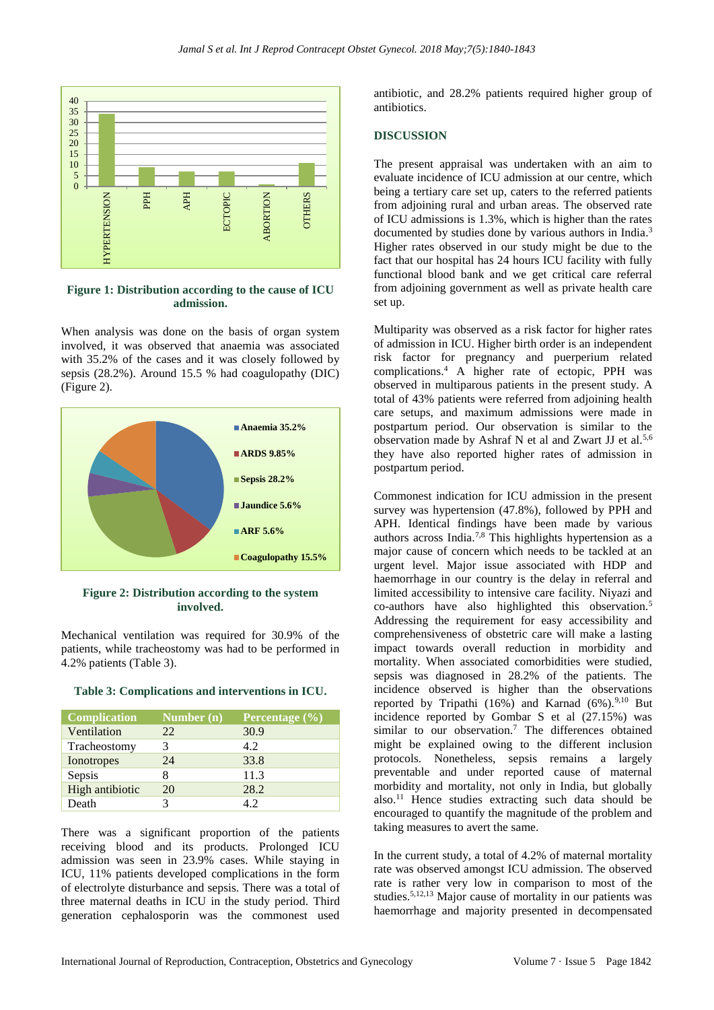

**Figure 1: Distribution according to the cause of ICU admission.**

When analysis was done on the basis of organ system involved, it was observed that anaemia was associated with 35.2% of the cases and it was closely followed by sepsis (28.2%). Around 15.5 % had coagulopathy (DIC) (Figure 2).



**Figure 2: Distribution according to the system involved.**

Mechanical ventilation was required for 30.9% of the patients, while tracheostomy was had to be performed in 4.2% patients (Table 3).

| <b>Complication</b> | Number (n) | Percentage $(\% )$ |
|---------------------|------------|--------------------|
| Ventilation         | 22         | 30.9               |
| Tracheostomy        |            | 4.2.               |
| Ionotropes          | 24         | 33.8               |
| Sepsis              |            | 11.3               |
| High antibiotic     | 20         | 28.2               |
| Death               |            | 42                 |

There was a significant proportion of the patients receiving blood and its products. Prolonged ICU admission was seen in 23.9% cases. While staying in ICU, 11% patients developed complications in the form of electrolyte disturbance and sepsis. There was a total of three maternal deaths in ICU in the study period. Third generation cephalosporin was the commonest used antibiotic, and 28.2% patients required higher group of antibiotics.

#### **DISCUSSION**

The present appraisal was undertaken with an aim to evaluate incidence of ICU admission at our centre, which being a tertiary care set up, caters to the referred patients from adjoining rural and urban areas. The observed rate of ICU admissions is 1.3%, which is higher than the rates documented by studies done by various authors in India.<sup>3</sup> Higher rates observed in our study might be due to the fact that our hospital has 24 hours ICU facility with fully functional blood bank and we get critical care referral from adjoining government as well as private health care set up.

Multiparity was observed as a risk factor for higher rates of admission in ICU. Higher birth order is an independent risk factor for pregnancy and puerperium related complications.<sup>4</sup> A higher rate of ectopic, PPH was observed in multiparous patients in the present study. A total of 43% patients were referred from adjoining health care setups, and maximum admissions were made in postpartum period. Our observation is similar to the observation made by Ashraf N et al and Zwart JJ et al.5,6 they have also reported higher rates of admission in postpartum period.

Commonest indication for ICU admission in the present survey was hypertension (47.8%), followed by PPH and APH. Identical findings have been made by various authors across India.7,8 This highlights hypertension as a major cause of concern which needs to be tackled at an urgent level. Major issue associated with HDP and haemorrhage in our country is the delay in referral and limited accessibility to intensive care facility. Niyazi and co-authors have also highlighted this observation.<sup>5</sup> Addressing the requirement for easy accessibility and comprehensiveness of obstetric care will make a lasting impact towards overall reduction in morbidity and mortality. When associated comorbidities were studied, sepsis was diagnosed in 28.2% of the patients. The incidence observed is higher than the observations reported by Tripathi  $(16%)$  and Karnad  $(6%)$ .<sup>9,10</sup> But incidence reported by Gombar S et al (27.15%) was similar to our observation.<sup>7</sup> The differences obtained might be explained owing to the different inclusion protocols. Nonetheless, sepsis remains a largely preventable and under reported cause of maternal morbidity and mortality, not only in India, but globally also.<sup>11</sup> Hence studies extracting such data should be encouraged to quantify the magnitude of the problem and taking measures to avert the same.

In the current study, a total of 4.2% of maternal mortality rate was observed amongst ICU admission. The observed rate is rather very low in comparison to most of the studies.5,12,13 Major cause of mortality in our patients was haemorrhage and majority presented in decompensated